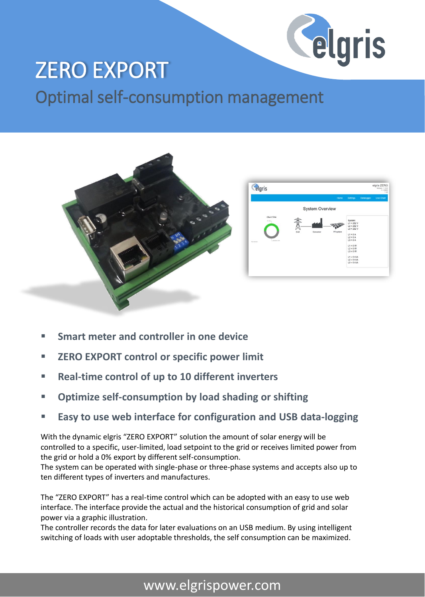

## ZERO EXPORT

Optimal self-consumption management



- Smart meter and controller in one device
- **ZERO EXPORT control or specific power limit**
- **Real-time control of up to 10 different inverters**
- **Optimize self-consumption by load shading or shifting**
- **Easy to use web interface for configuration and USB data-logging**

With the dynamic elgris "ZERO EXPORT" solution the amount of solar energy will be controlled to a specific, user-limited, load setpoint to the grid or receives limited power from the grid or hold a 0% export by different self-consumption.

The system can be operated with single-phase or three-phase systems and accepts also up to ten different types of inverters and manufactures.

The "ZERO EXPORT" has a real-time control which can be adopted with an easy to use web interface. The interface provide the actual and the historical consumption of grid and solar power via a graphic illustration.

The controller records the data for later evaluations on an USB medium. By using intelligent switching of loads with user adoptable thresholds, the self consumption can be maximized.

## www.elgrispower.com